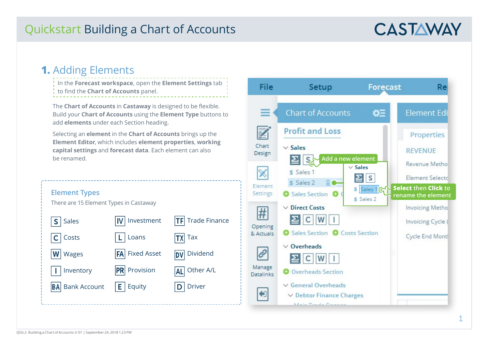# **CASTAWAY**

### **1.** Adding Elements

In the **Forecast workspace**, open the **Element Settings** tab to find the **Chart of Accounts** panel. Wages .<br>Listo Lis Wages

The **Chart of Accounts** in **Castaway** is designed to be flexible. Build your **Chart of Accounts** using the **Element Type** buttons to add **elements** under each Section heading. o be flexible.

Selecting an **element** in the **Chart of Accounts** brings up the **Element Editor**, which includes **element properties**, **working capital settings** and **forecast data**. Each element can also be renamed. i**st data**. Each element can also

Icon List

Icon List

| <b>Element Types</b><br>There are 15 Element Types in Castaway |                     |                         |
|----------------------------------------------------------------|---------------------|-------------------------|
| Sales<br>$S \mid$                                              | Investment<br>IV    | <b>TF</b> Trade Finance |
| Costs                                                          | Loans               | Tax                     |
| Wages<br>$ \mathsf{W} $                                        | FA Fixed Asset      | <b>DV</b> Dividend      |
| Inventory                                                      | <b>PR</b> Provision | Other A/L<br><b>ALI</b> |
| <b>BA</b> Bank Account                                         | Equity<br>EI        | <b>Driver</b><br>D      |
|                                                                |                     |                         |



**Element icons**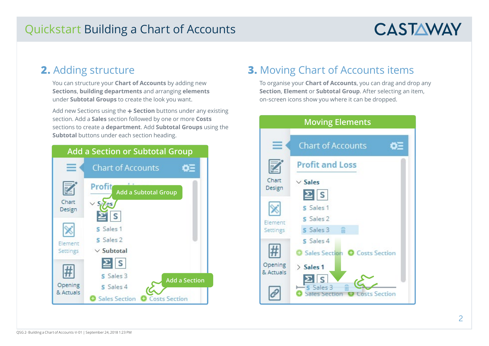# **CASTAWAY**

#### **2.** Adding structure

You can structure your **Chart of Accounts** by adding new **Sections**, **building departments** and arranging **elements** under **Subtotal Groups** to create the look you want.

Add new Sections using the **+ Section** buttons under any existing section. Add a **Sales** section followed by one or more **Costs**  sections to create a **department**. Add **Subtotal Groups** using the **Subtotal** buttons under each section heading.



### **3.** Moving Chart of Accounts items

To organise your **Chart of Accounts**, you can drag and drop any **Section**, **Element** or **Subtotal Group**. After selecting an item, on-screen icons show you where it can be dropped.

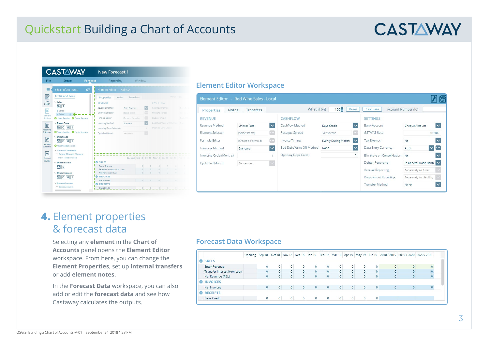# **CASTAWAY**



#### **Element Editor Workspace**

| <b>Notes</b><br>Properties | <b>Transfers</b>   |                         | What if (%)                | 100                        | Reset                   | Calculate                   | Account Number (Id)                       |
|----------------------------|--------------------|-------------------------|----------------------------|----------------------------|-------------------------|-----------------------------|-------------------------------------------|
| <b>REVENUE</b>             |                    |                         | <b>CASHFLOW</b>            |                            |                         | <b>SETTINGS</b>             |                                           |
| Revenue Method             | Units x Rate       | $\overline{\mathsf{v}}$ | Cashflow Method            | Days Credit                | $\overline{\mathsf{v}}$ | <b>Bank Account</b>         | $\overline{\mathsf{v}}$<br>Cheque Account |
| <b>Element Selector</b>    | (Select Items)     | <b>COL</b>              | Receipts Spread            | Edit Spread                | $\cdots$                | <b>GST/VAT Rate</b>         | 10.00%                                    |
| Formula Editor             | (Create a Formula) | $\sim$                  | <b>Invoice Timing</b>      | <b>Evenly During Month</b> | $\checkmark$            | <b>Tax Exempt</b>           | <b>No</b>                                 |
| <b>Invoicing Method</b>    | Standard           | $\checkmark$            | Bad Debt Write Off Method  | None                       | $\checkmark$            | Data Entry Currency         | $\vee$ $\cdots$<br><b>AUD</b>             |
| Invoicing Cycle (Months)   |                    |                         | <b>Opening Days Credit</b> |                            | $\circ$                 | Eliminate on Consolidation  | <b>No</b>                                 |
| Cycle End Month            | September          |                         |                            |                            |                         | <b>Debtor Reporting</b>     | In General Trade Debtc                    |
|                            |                    |                         |                            |                            |                         | <b>Accrual Reporting</b>    | Separately As Asset                       |
|                            |                    |                         |                            |                            |                         | <b>Prepayment Reporting</b> | Separately As Liability                   |
|                            |                    |                         |                            |                            |                         | <b>Transfer Method</b>      | None                                      |

### **4.** Element properties & forecast data

Selecting any **element** in the **Chart of Accounts** panel opens the **Element Editor** workspace. From here, you can change the **Element Properties**, set up **internal transfers** or add **element notes**.

In the **Forecast Data** workspace, you can also add or edit the **forecast data** and see how Castaway calculates the outputs.

#### **Forecast Data Workspace**

|                             |  |          |                |         |                |                | <b>TERRITORY</b> |                |                |         |         |                                                                                                                   |          |          |
|-----------------------------|--|----------|----------------|---------|----------------|----------------|------------------|----------------|----------------|---------|---------|-------------------------------------------------------------------------------------------------------------------|----------|----------|
|                             |  |          |                |         |                |                |                  |                |                |         |         | Opening Sep 18 Oct 18 Nov 18 Dec 18 Jan 19 Feb 19 Mar 19 Apr 19 May 19 Jun 19 2018 / 2019 2019 / 2020 2020 / 2021 |          |          |
| SALES                       |  |          |                |         |                |                |                  |                |                |         |         |                                                                                                                   |          |          |
| <b>Enter Revenue</b>        |  |          | $\circ$        | 0       | $\overline{0}$ | 0              |                  | $\circ$        |                | $\circ$ | $\circ$ | $\overline{0}$                                                                                                    | $\Omega$ | $\Omega$ |
| Transfer Interest from Loan |  |          | $\mathbf{0}$   | $\circ$ | $\circ$        | $\overline{0}$ | $\overline{0}$   | $\overline{0}$ | $\Omega$       | $\circ$ | $\circ$ | $\Omega$                                                                                                          | $\Omega$ |          |
| Net Revenue (P&L)           |  |          | $\overline{0}$ | $\circ$ | $\circ$        | $\overline{0}$ | $\circ$          | $\circ$        | $\circ$        | $\circ$ | $\circ$ | $\circ$                                                                                                           | $\circ$  |          |
| <b>INVOICES</b><br>$\sim$   |  |          |                |         |                |                |                  |                |                |         |         |                                                                                                                   |          |          |
| Net Invoices                |  | $\Omega$ | $\overline{0}$ | $\circ$ | $\circ$        | $\circ$        | $\overline{0}$   | $\circ$        | $\circ$        | $\circ$ | $\circ$ | 0                                                                                                                 | $\circ$  |          |
| <b>C</b> RECEIPTS           |  |          |                |         |                |                |                  |                |                |         |         |                                                                                                                   |          |          |
| Days Credit                 |  | $\circ$  | $\overline{0}$ | $\circ$ | $\circ$        | $\overline{0}$ |                  | $\overline{0}$ | $\overline{0}$ | $\circ$ | $\circ$ |                                                                                                                   |          |          |